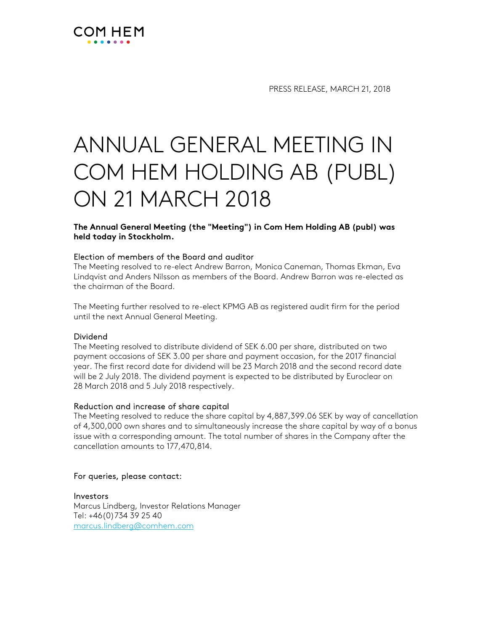

PRESS RELEASE, MARCH 21, 2018

# ANNUAL GENERAL MEETING IN COM HEM HOLDING AB (PUBL) ON 21 MARCH 2018

**The Annual General Meeting (the "Meeting") in Com Hem Holding AB (publ) was held today in Stockholm.** 

### Election of members of the Board and auditor

The Meeting resolved to re-elect Andrew Barron, Monica Caneman, Thomas Ekman, Eva Lindqvist and Anders Nilsson as members of the Board. Andrew Barron was re-elected as the chairman of the Board.

The Meeting further resolved to re-elect KPMG AB as registered audit firm for the period until the next Annual General Meeting.

#### Dividend

The Meeting resolved to distribute dividend of SEK 6.00 per share, distributed on two payment occasions of SEK 3.00 per share and payment occasion, for the 2017 financial year. The first record date for dividend will be 23 March 2018 and the second record date will be 2 July 2018. The dividend payment is expected to be distributed by Euroclear on 28 March 2018 and 5 July 2018 respectively.

#### Reduction and increase of share capital

The Meeting resolved to reduce the share capital by 4,887,399.06 SEK by way of cancellation of 4,300,000 own shares and to simultaneously increase the share capital by way of a bonus issue with a corresponding amount. The total number of shares in the Company after the cancellation amounts to 177,470,814.

#### For queries, please contact:

Investors Marcus Lindberg, Investor Relations Manager Tel: +46(0)734 39 25 40 marcus.lindberg@comhem.com